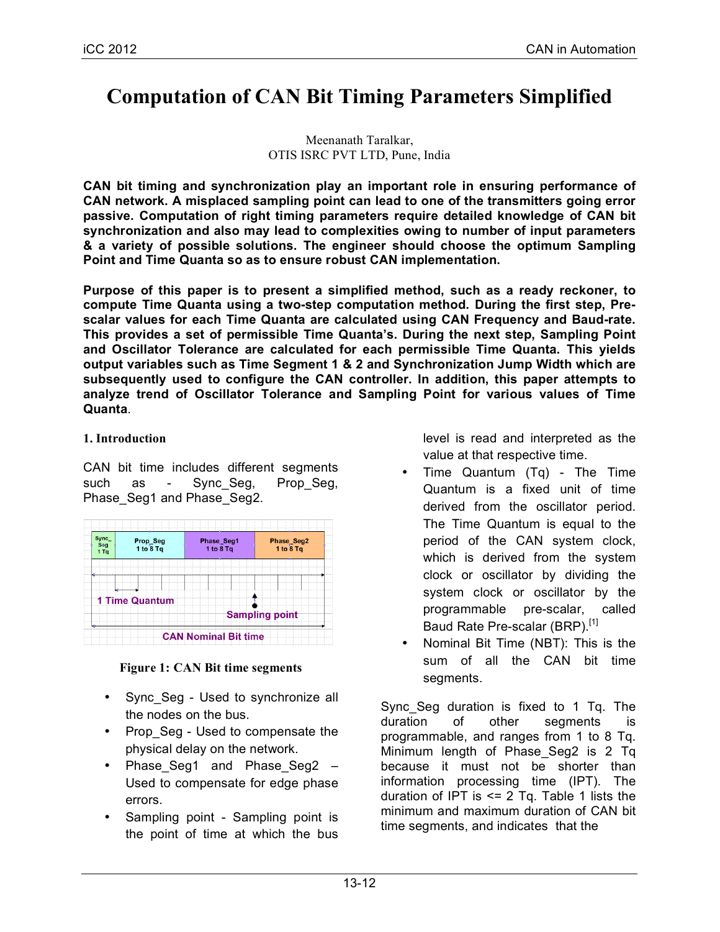# **Computation of CAN Bit Timing Parameters Simplified**

Meenanath Taralkar, OTIS ISRC PVT LTD, Pune, India

**CAN bit timing and synchronization play an important role in ensuring performance of CAN network. A misplaced sampling point can lead to one of the transmitters going error passive. Computation of right timing parameters require detailed knowledge of CAN bit synchronization and also may lead to complexities owing to number of input parameters & a variety of possible solutions. The engineer should choose the optimum Sampling Point and Time Quanta so as to ensure robust CAN implementation.**

**Purpose of this paper is to present a simplified method, such as a ready reckoner, to compute Time Quanta using a two-step computation method. During the first step, Prescalar values for each Time Quanta are calculated using CAN Frequency and Baud-rate. This provides a set of permissible Time Quanta's. During the next step, Sampling Point and Oscillator Tolerance are calculated for each permissible Time Quanta. This yields output variables such as Time Segment 1 & 2 and Synchronization Jump Width which are subsequently used to configure the CAN controller. In addition, this paper attempts to analyze trend of Oscillator Tolerance and Sampling Point for various values of Time Quanta**.

# **1. Introduction**

CAN bit time includes different segments such as - Sync Seg, Prop Seg, Phase\_Seg1 and Phase\_Seg2.



## **Figure 1: CAN Bit time segments**

- Sync\_Seg Used to synchronize all the nodes on the bus.
- Prop Seg Used to compensate the physical delay on the network.
- Phase Seg1 and Phase Seg2 Used to compensate for edge phase errors.
- Sampling point Sampling point is the point of time at which the bus

level is read and interpreted as the value at that respective time.

- Time Quantum (Tq) The Time Quantum is a fixed unit of time derived from the oscillator period. The Time Quantum is equal to the period of the CAN system clock, which is derived from the system clock or oscillator by dividing the system clock or oscillator by the programmable pre-scalar, called Baud Rate Pre-scalar (BRP).<sup>[1]</sup>
- Nominal Bit Time (NBT): This is the sum of all the CAN bit time segments.

Sync\_Seg duration is fixed to 1 Tq. The duration of other segments is programmable, and ranges from 1 to 8 Tq. Minimum length of Phase\_Seg2 is 2 Tq because it must not be shorter than information processing time (IPT). The duration of IPT is  $\leq$  2 Tq. Table 1 lists the minimum and maximum duration of CAN bit time segments, and indicates that the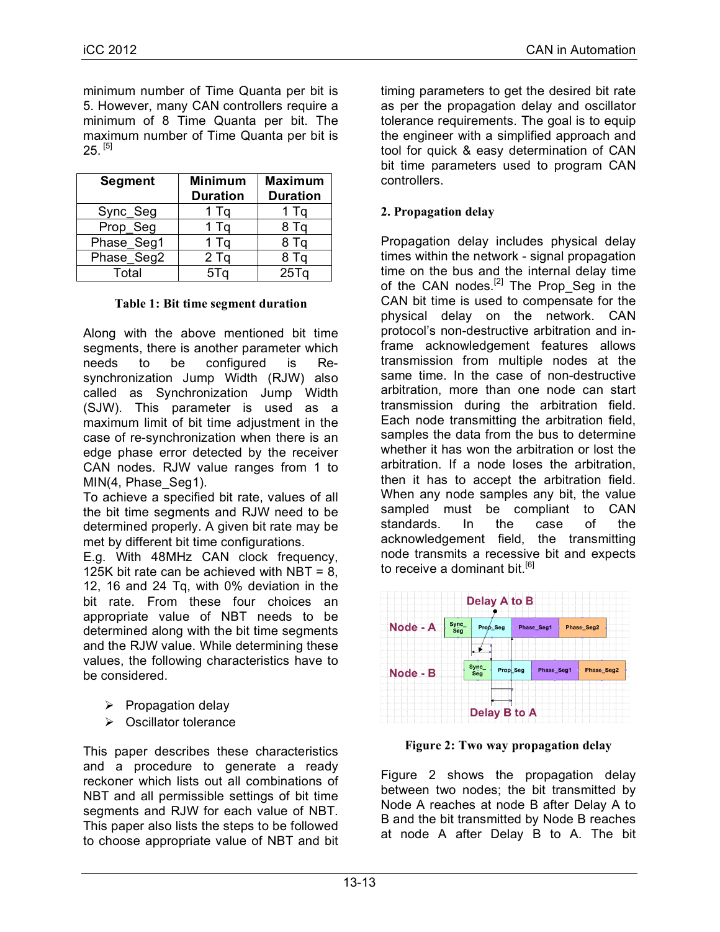minimum number of Time Quanta per bit is 5. However, many CAN controllers require a minimum of 8 Time Quanta per bit. The maximum number of Time Quanta per bit is  $25.$  [5]

| <b>Segment</b> | <b>Minimum</b><br><b>Duration</b> | <b>Maximum</b><br><b>Duration</b> |  |  |
|----------------|-----------------------------------|-----------------------------------|--|--|
| Sync_Seg       | 1 Tq                              | $1$ Tq                            |  |  |
| Prop_Seg       | 1 Tq                              | 8 Tq                              |  |  |
| Phase_Seg1     | 1 Tq                              | 8 Tq                              |  |  |
| Phase_Seg2     | $2$ Tq                            | 8 Tq                              |  |  |
| Total          | 5Tq                               | 25Tq                              |  |  |

## **Table 1: Bit time segment duration**

Along with the above mentioned bit time segments, there is another parameter which needs to be configured is Resynchronization Jump Width (RJW) also called as Synchronization Jump Width (SJW). This parameter is used as a maximum limit of bit time adjustment in the case of re-synchronization when there is an edge phase error detected by the receiver CAN nodes. RJW value ranges from 1 to MIN(4, Phase\_Seg1).

To achieve a specified bit rate, values of all the bit time segments and RJW need to be determined properly. A given bit rate may be met by different bit time configurations.

E.g. With 48MHz CAN clock frequency, 125K bit rate can be achieved with NBT =  $8$ . 12, 16 and 24 Tq, with 0% deviation in the bit rate. From these four choices an appropriate value of NBT needs to be determined along with the bit time segments and the RJW value. While determining these values, the following characteristics have to be considered.

- $\triangleright$  Propagation delay
- $\triangleright$  Oscillator tolerance

This paper describes these characteristics and a procedure to generate a ready reckoner which lists out all combinations of NBT and all permissible settings of bit time segments and RJW for each value of NBT. This paper also lists the steps to be followed to choose appropriate value of NBT and bit timing parameters to get the desired bit rate as per the propagation delay and oscillator tolerance requirements. The goal is to equip the engineer with a simplified approach and tool for quick & easy determination of CAN bit time parameters used to program CAN controllers.

# **2. Propagation delay**

Propagation delay includes physical delay times within the network - signal propagation time on the bus and the internal delay time of the CAN nodes.<sup>[2]</sup> The Prop Seg in the CAN bit time is used to compensate for the physical delay on the network. CAN protocol's non-destructive arbitration and inframe acknowledgement features allows transmission from multiple nodes at the same time. In the case of non-destructive arbitration, more than one node can start transmission during the arbitration field. Each node transmitting the arbitration field, samples the data from the bus to determine whether it has won the arbitration or lost the arbitration. If a node loses the arbitration, then it has to accept the arbitration field. When any node samples any bit, the value sampled must be compliant to CAN standards. In the case of the acknowledgement field, the transmitting node transmits a recessive bit and expects to receive a dominant bit.<sup>[6]</sup>



**Figure 2: Two way propagation delay**

Figure 2 shows the propagation delay between two nodes; the bit transmitted by Node A reaches at node B after Delay A to B and the bit transmitted by Node B reaches at node A after Delay B to A. The bit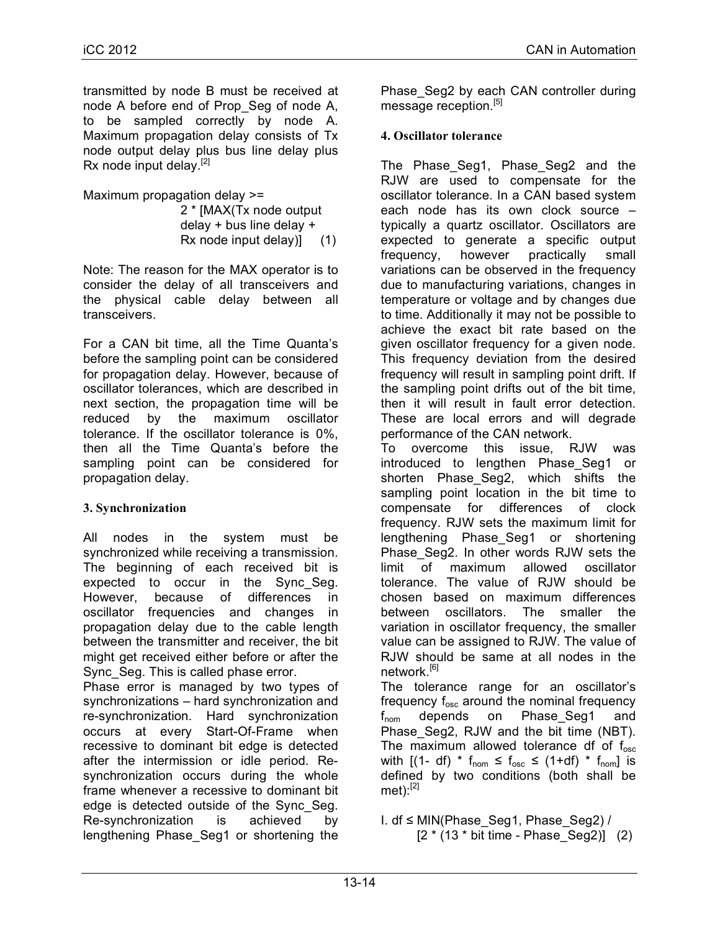transmitted by node B must be received at node A before end of Prop\_Seg of node A, to be sampled correctly by node A. Maximum propagation delay consists of Tx node output delay plus bus line delay plus Rx node input delay. $^{[2]}$ 

Maximum propagation delay >=

 2 \* [MAX(Tx node output delay + bus line delay + Rx node input delay)] (1)

Note: The reason for the MAX operator is to consider the delay of all transceivers and the physical cable delay between all transceivers.

For a CAN bit time, all the Time Quanta's before the sampling point can be considered for propagation delay. However, because of oscillator tolerances, which are described in next section, the propagation time will be reduced by the maximum oscillator tolerance. If the oscillator tolerance is 0%, then all the Time Quanta's before the sampling point can be considered for propagation delay.

# **3. Synchronization**

All nodes in the system must be synchronized while receiving a transmission. The beginning of each received bit is expected to occur in the Sync\_Seg. However, because of differences in oscillator frequencies and changes in propagation delay due to the cable length between the transmitter and receiver, the bit might get received either before or after the Sync\_Seg. This is called phase error.

Phase error is managed by two types of synchronizations – hard synchronization and re-synchronization. Hard synchronization occurs at every Start-Of-Frame when recessive to dominant bit edge is detected after the intermission or idle period. Resynchronization occurs during the whole frame whenever a recessive to dominant bit edge is detected outside of the Sync\_Seg. Re-synchronization is achieved by lengthening Phase\_Seg1 or shortening the

Phase\_Seg2 by each CAN controller during message reception.<sup>[5]</sup>

# **4. Oscillator tolerance**

The Phase\_Seg1, Phase\_Seg2 and the RJW are used to compensate for the oscillator tolerance. In a CAN based system each node has its own clock source – typically a quartz oscillator. Oscillators are expected to generate a specific output frequency, however practically small variations can be observed in the frequency due to manufacturing variations, changes in temperature or voltage and by changes due to time. Additionally it may not be possible to achieve the exact bit rate based on the given oscillator frequency for a given node. This frequency deviation from the desired frequency will result in sampling point drift. If the sampling point drifts out of the bit time, then it will result in fault error detection. These are local errors and will degrade performance of the CAN network.

To overcome this issue, RJW was introduced to lengthen Phase Seg1 or shorten Phase\_Seg2, which shifts the sampling point location in the bit time to compensate for differences of clock frequency. RJW sets the maximum limit for lengthening Phase\_Seg1 or shortening Phase Seg2. In other words RJW sets the limit of maximum allowed oscillator tolerance. The value of RJW should be chosen based on maximum differences between oscillators. The smaller the variation in oscillator frequency, the smaller value can be assigned to RJW. The value of RJW should be same at all nodes in the network.<sup>[6]</sup>

The tolerance range for an oscillator's frequency  $f_{osc}$  around the nominal frequency f<sub>nom</sub> depends on Phase\_Seg1 and Phase\_Seg2, RJW and the bit time (NBT). The maximum allowed tolerance df of  $f_{osc}$ with  $[(1- df) * f_{\text{nom}} \le f_{\text{osc}} \le (1+ df) * f_{\text{nom}}]$  is defined by two conditions (both shall be  $met)$ : $^{[2]}$ 

I. df ≤ MIN(Phase\_Seg1, Phase\_Seg2) /  $[2 * (13 * bit time - Phase Seg2)]$  (2)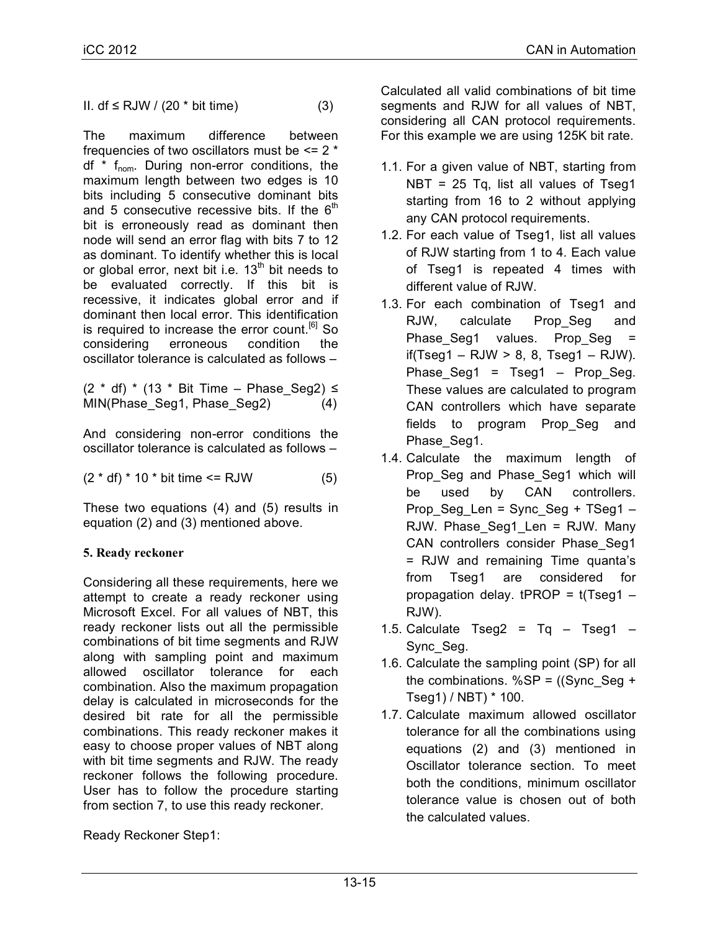II. df ≤ RJW /  $(20 * bit time)$  (3)

The maximum difference between frequencies of two oscillators must be  $\leq 2$  \* df  $*$  f<sub>nom</sub>. During non-error conditions, the maximum length between two edges is 10 bits including 5 consecutive dominant bits and 5 consecutive recessive bits. If the  $6<sup>th</sup>$ bit is erroneously read as dominant then node will send an error flag with bits 7 to 12 as dominant. To identify whether this is local or global error, next bit i.e.  $13<sup>th</sup>$  bit needs to be evaluated correctly. If this bit is recessive, it indicates global error and if dominant then local error. This identification is required to increase the error count.<sup>[6]</sup> So considering erroneous condition the oscillator tolerance is calculated as follows –

 $(2 * df) * (13 * Bit Time - Phase Seq2)$ MIN(Phase Seg1, Phase Seg2) (4)

And considering non-error conditions the oscillator tolerance is calculated as follows –

 $(2 * df) * 10 * bit time \le RJW$  (5)

These two equations (4) and (5) results in equation (2) and (3) mentioned above.

# **5. Ready reckoner**

Considering all these requirements, here we attempt to create a ready reckoner using Microsoft Excel. For all values of NBT, this ready reckoner lists out all the permissible combinations of bit time segments and RJW along with sampling point and maximum allowed oscillator tolerance for each combination. Also the maximum propagation delay is calculated in microseconds for the desired bit rate for all the permissible combinations. This ready reckoner makes it easy to choose proper values of NBT along with bit time segments and RJW. The ready reckoner follows the following procedure. User has to follow the procedure starting from section 7, to use this ready reckoner.

Ready Reckoner Step1:

Calculated all valid combinations of bit time segments and RJW for all values of NBT, considering all CAN protocol requirements. For this example we are using 125K bit rate.

- 1.1. For a given value of NBT, starting from NBT = 25 Tq, list all values of Tseg1 starting from 16 to 2 without applying any CAN protocol requirements.
- 1.2. For each value of Tseg1, list all values of RJW starting from 1 to 4. Each value of Tseg1 is repeated 4 times with different value of RJW.
- 1.3. For each combination of Tseg1 and RJW, calculate Prop Seg and Phase\_Seg1 values. Prop\_Seg =  $if(Tseq1 - RJW > 8, 8, Tseq1 - RJW).$ Phase Seg1 =  $Tseq1$  – Prop Seg. These values are calculated to program CAN controllers which have separate fields to program Prop\_Seg and Phase Seg1.
- 1.4. Calculate the maximum length of Prop Seg and Phase Seg1 which will be used by CAN controllers. Prop\_Seg\_Len = Sync\_Seg + TSeg1 – RJW. Phase Seg1 Len = RJW. Many CAN controllers consider Phase\_Seg1 = RJW and remaining Time quanta's from Tseg1 are considered for propagation delay.  $t$ PROP =  $t$ (Tseg1 – RJW).
- 1.5. Calculate  $Tseg2 = Tg Tseg1$ Sync\_Seg.
- 1.6. Calculate the sampling point (SP) for all the combinations. %SP =  $($ (Sync Seg + Tseg1) / NBT) \* 100.
- 1.7. Calculate maximum allowed oscillator tolerance for all the combinations using equations (2) and (3) mentioned in Oscillator tolerance section. To meet both the conditions, minimum oscillator tolerance value is chosen out of both the calculated values.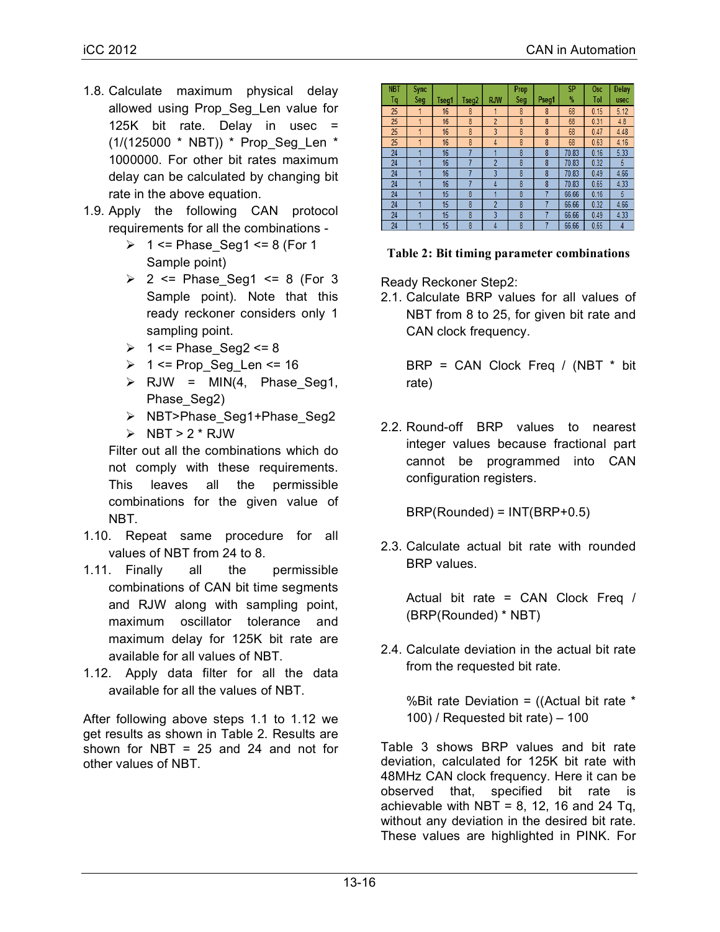- 1.8. Calculate maximum physical delay allowed using Prop\_Seg\_Len value for 125K bit rate. Delay in usec = (1/(125000 \* NBT)) \* Prop\_Seg\_Len \* 1000000. For other bit rates maximum delay can be calculated by changing bit rate in the above equation.
- 1.9. Apply the following CAN protocol requirements for all the combinations -
	- $\geq 1$  <= Phase\_Seg1 <= 8 (For 1 Sample point)
	- $\geq$  2 <= Phase Seg1 <= 8 (For 3 Sample point). Note that this ready reckoner considers only 1 sampling point.
	- $\geq 1$  <= Phase Seg2 <= 8
	- $\geq 1$  <= Prop Seg Len <= 16
	- $\triangleright$  RJW = MIN(4, Phase\_Seg1, Phase Seg2)
	- > NBT>Phase\_Seg1+Phase\_Seg2
	- $\triangleright$  NBT > 2 \* RJW

Filter out all the combinations which do not comply with these requirements. This leaves all the permissible combinations for the given value of NBT.

- 1.10. Repeat same procedure for all values of NBT from 24 to 8.
- 1.11. Finally all the permissible combinations of CAN bit time segments and RJW along with sampling point, maximum oscillator tolerance and maximum delay for 125K bit rate are available for all values of NBT.
- 1.12. Apply data filter for all the data available for all the values of NBT.

After following above steps 1.1 to 1.12 we get results as shown in Table 2. Results are shown for NBT = 25 and 24 and not for other values of NBT.

| <b>NBT</b> | <b>Sync</b> |       |       |                | <b>Prop</b> |       | <b>SP</b>     | <b>Osc</b> | Delay |
|------------|-------------|-------|-------|----------------|-------------|-------|---------------|------------|-------|
| Tq         | Seg         | Tseg1 | Tseg2 | <b>RJW</b>     | Seg         | Pseg1 | $\frac{9}{6}$ | Tol        | usec  |
| 25         |             | 16    | 8     |                | 8           | 8     | 68            | 0.15       | 5.12  |
| 25         | 4           | 16    | 8     | $\overline{2}$ | 8           | 8     | 68            | 0.31       | 4.8   |
| 25         | и           | 16    | 8     | $\overline{3}$ | 8           | 8     | 68            | 0.47       | 4.48  |
| 25         |             | 16    | 8     | 4              | 8           | 8     | 68            | 0.63       | 4.16  |
| 24         |             | 16    |       |                | 8           | 8     | 70.83         | 0.16       | 5.33  |
| 24         |             | 16    |       | $\overline{2}$ | 8           | 8     | 70.83         | 0.32       | 5     |
| 24         |             | 16    |       | 3              | 8           | 8     | 70.83         | 0.49       | 4.66  |
| 24         |             | 16    |       | 4              | 8           | 8     | 70.83         | 0.65       | 4.33  |
| 24         | и           | 15    | 8     |                | 8           |       | 66.66         | 0.16       | 5     |
| 24         |             | 15    | 8     | $\overline{2}$ | 8           |       | 66.66         | 0.32       | 4.66  |
| 24         |             | 15    | 8     | 3              | 8           |       | 66.66         | 0.49       | 4.33  |
| 24         |             | 15    | 8     | 4              | 8           |       | 66.66         | 0.65       | 4     |

## **Table 2: Bit timing parameter combinations**

Ready Reckoner Step2:

2.1. Calculate BRP values for all values of NBT from 8 to 25, for given bit rate and CAN clock frequency.

 $BRP = CAN$  Clock Freq / (NBT  $*$  bit rate)

2.2. Round-off BRP values to nearest integer values because fractional part cannot be programmed into CAN configuration registers.

BRP(Rounded) = INT(BRP+0.5)

2.3. Calculate actual bit rate with rounded BRP values.

Actual bit rate = CAN Clock Freq / (BRP(Rounded) \* NBT)

2.4. Calculate deviation in the actual bit rate from the requested bit rate.

%Bit rate Deviation = ((Actual bit rate \* 100) / Requested bit rate) – 100

Table 3 shows BRP values and bit rate deviation, calculated for 125K bit rate with 48MHz CAN clock frequency. Here it can be observed that, specified bit rate is achievable with NBT =  $8$ , 12, 16 and 24 Tq, without any deviation in the desired bit rate. These values are highlighted in PINK. For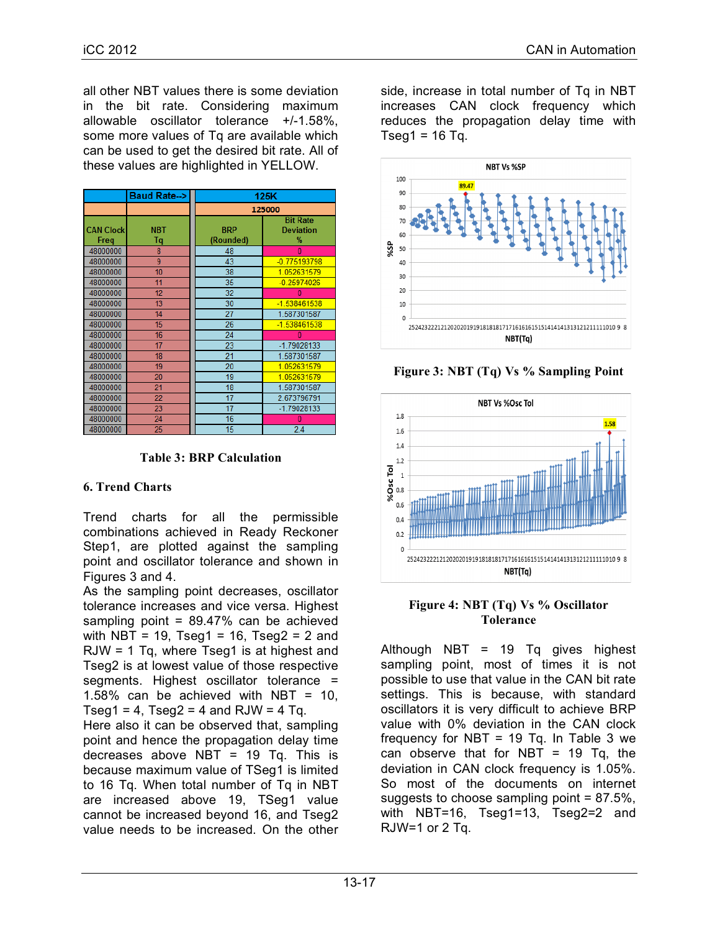all other NBT values there is some deviation in the bit rate. Considering maximum allowable oscillator tolerance +/-1.58%, some more values of Tq are available which can be used to get the desired bit rate. All of these values are highlighted in YELLOW.

|                          | Baud Rate-->     | 125K                    |                                          |  |  |  |  |
|--------------------------|------------------|-------------------------|------------------------------------------|--|--|--|--|
|                          |                  | 125000                  |                                          |  |  |  |  |
| <b>CAN Clock</b><br>Freq | <b>NBT</b><br>Τq | <b>BRP</b><br>(Rounded) | <b>Bit Rate</b><br><b>Deviation</b><br>% |  |  |  |  |
| 48000000                 | 8                | 48                      | n                                        |  |  |  |  |
| 48000000                 | 9                | 43                      | $-0.775193798$                           |  |  |  |  |
| 48000000                 | 10               | 38                      | 1.052631579                              |  |  |  |  |
| 48000000                 | 11               | 35                      | $-0.25974026$                            |  |  |  |  |
| 48000000                 | 12               | 32                      |                                          |  |  |  |  |
| 48000000                 | 13               | 30                      | $-1.538461538$                           |  |  |  |  |
| 48000000                 | 14               | 27                      | 1.587301587                              |  |  |  |  |
| 48000000                 | 15               | 26                      | $-1.538461538$                           |  |  |  |  |
| 48000000                 | 16               | 24                      |                                          |  |  |  |  |
| 48000000                 | 17               | 23                      | -1.79028133                              |  |  |  |  |
| 48000000                 | 18               | 21                      | 1.587301587                              |  |  |  |  |
| 48000000                 | 19               | 20                      | 1.052631579                              |  |  |  |  |
| 48000000                 | 20               | 19                      | 1.052631579                              |  |  |  |  |
| 48000000                 | 21               | 18                      | 1.587301587                              |  |  |  |  |
| 48000000                 | 22               | 17                      | 2.673796791                              |  |  |  |  |
| 48000000                 | 23               | 17                      | -1.79028133                              |  |  |  |  |
| 48000000                 | 24               | 16                      |                                          |  |  |  |  |
| 48000000                 | 25               | 15                      | 24                                       |  |  |  |  |

**Table 3: BRP Calculation**

# **6. Trend Charts**

Trend charts for all the permissible combinations achieved in Ready Reckoner Step1, are plotted against the sampling point and oscillator tolerance and shown in Figures 3 and 4.

As the sampling point decreases, oscillator tolerance increases and vice versa. Highest sampling point =  $89.47\%$  can be achieved with NBT = 19. Tseq1 = 16. Tseq2 = 2 and RJW = 1 Tq, where Tseg1 is at highest and Tseg2 is at lowest value of those respective segments. Highest oscillator tolerance = 1.58% can be achieved with NBT = 10, Tseg1 = 4, Tseg2 = 4 and RJW = 4 Tq.

Here also it can be observed that, sampling point and hence the propagation delay time decreases above NBT =  $19$  Tq. This is because maximum value of TSeg1 is limited to 16 Tq. When total number of Tq in NBT are increased above 19, TSeg1 value cannot be increased beyond 16, and Tseg2 value needs to be increased. On the other

side, increase in total number of Tq in NBT increases CAN clock frequency which reduces the propagation delay time with Tseg1 =  $16$  Tq.



**Figure 3: NBT (Tq) Vs % Sampling Point**



## **Figure 4: NBT (Tq) Vs % Oscillator Tolerance**

Although NBT = 19 Tq gives highest sampling point, most of times it is not possible to use that value in the CAN bit rate settings. This is because, with standard oscillators it is very difficult to achieve BRP value with 0% deviation in the CAN clock frequency for NBT = 19 Tq. In Table 3 we can observe that for NBT = 19 Tq, the deviation in CAN clock frequency is 1.05%. So most of the documents on internet suggests to choose sampling point  $= 87.5\%$ . with NBT=16, Tseg1=13, Tseg2=2 and RJW=1 or 2 Tq.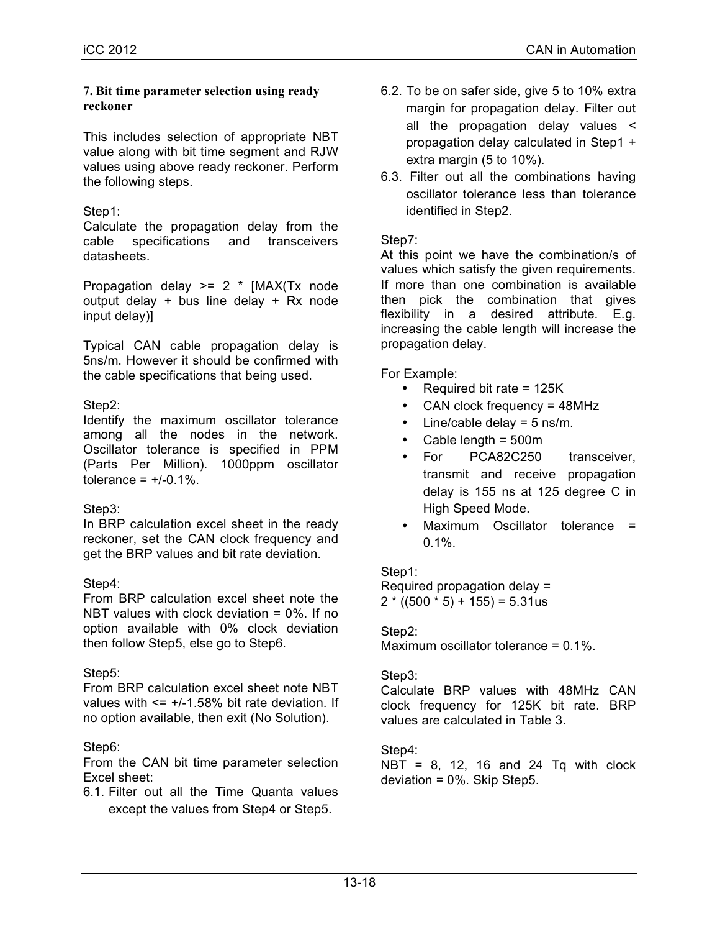#### **7. Bit time parameter selection using ready reckoner**

This includes selection of appropriate NBT value along with bit time segment and RJW values using above ready reckoner. Perform the following steps.

# Step1:

Calculate the propagation delay from the cable specifications and transceivers datasheets.

Propagation delay  $>= 2$  \* [MAX(Tx node output delay + bus line delay + Rx node input delay)]

Typical CAN cable propagation delay is 5ns/m. However it should be confirmed with the cable specifications that being used.

# Step2:

Identify the maximum oscillator tolerance among all the nodes in the network. Oscillator tolerance is specified in PPM (Parts Per Million). 1000ppm oscillator tolerance =  $+/0.1\%$ .

# Step3:

In BRP calculation excel sheet in the ready reckoner, set the CAN clock frequency and get the BRP values and bit rate deviation.

# Step4:

From BRP calculation excel sheet note the NBT values with clock deviation = 0%. If no option available with 0% clock deviation then follow Step5, else go to Step6.

# Step5:

From BRP calculation excel sheet note NBT values with  $\le$  +/-1.58% bit rate deviation. If no option available, then exit (No Solution).

# Step6:

From the CAN bit time parameter selection Excel sheet:

6.1. Filter out all the Time Quanta values except the values from Step4 or Step5.

- 6.2. To be on safer side, give 5 to 10% extra margin for propagation delay. Filter out all the propagation delay values < propagation delay calculated in Step1 + extra margin (5 to 10%).
- 6.3. Filter out all the combinations having oscillator tolerance less than tolerance identified in Step2.

## Step7:

At this point we have the combination/s of values which satisfy the given requirements. If more than one combination is available then pick the combination that gives flexibility in a desired attribute. E.g. increasing the cable length will increase the propagation delay.

For Example:

- Required bit rate = 125K
- CAN clock frequency = 48MHz
- Line/cable delay  $=$  5 ns/m.
- Cable length = 500m
- For PCA82C250 transceiver, transmit and receive propagation delay is 155 ns at 125 degree C in High Speed Mode.
- Maximum Oscillator tolerance =  $0.1\%$ .

## Step1:

Required propagation delay =  $2 * ((500 * 5) + 155) = 5.31$ us

# Step2:

Maximum oscillator tolerance = 0.1%.

## Step3:

Calculate BRP values with 48MHz CAN clock frequency for 125K bit rate. BRP values are calculated in Table 3.

# Step4:

NBT = 8, 12, 16 and 24 Tq with clock deviation = 0%. Skip Step5.